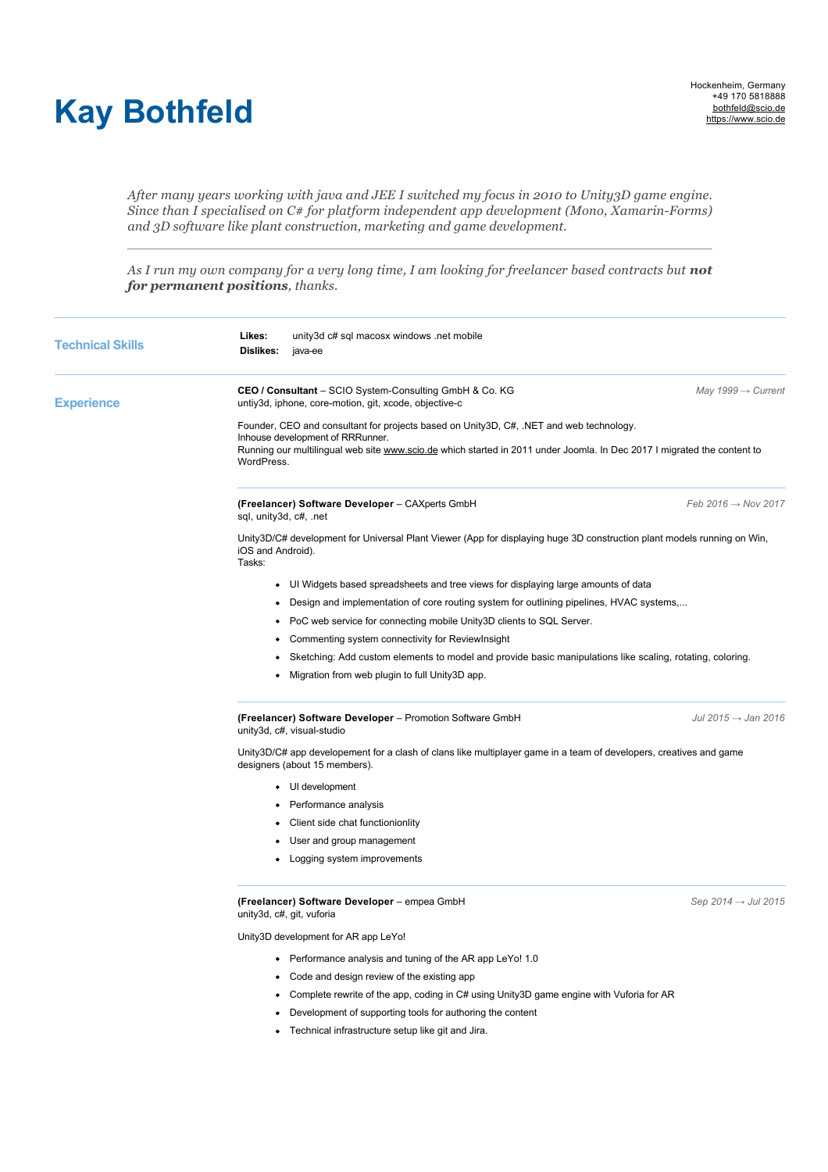## **Kay Bothfeld**

*After many years working with java and JEE I switched my focus in 2010 to Unity3D game engine. Since than I specialised on C# for platform independent app development (Mono, Xamarin-Forms) and 3D software like plant construction, marketing and game development.*

As I run my own company for a very long time, I am looking for freelancer based contracts but not *for permanent positions, thanks.*

| <b>Technical Skills</b> | Likes:<br>unity3d c# sql macosx windows .net mobile<br>Dislikes:<br>java-ee                                                                                                                                                                                          |                                 |  |  |
|-------------------------|----------------------------------------------------------------------------------------------------------------------------------------------------------------------------------------------------------------------------------------------------------------------|---------------------------------|--|--|
| <b>Experience</b>       | CEO / Consultant - SCIO System-Consulting GmbH & Co. KG<br>untiy3d, iphone, core-motion, git, xcode, objective-c                                                                                                                                                     | May 1999 $\rightarrow$ Current  |  |  |
|                         | Founder, CEO and consultant for projects based on Unity3D, C#, .NET and web technology.<br>Inhouse development of RRRunner.<br>Running our multilingual web site www.scio.de which started in 2011 under Joomla. In Dec 2017 I migrated the content to<br>WordPress. |                                 |  |  |
|                         | (Freelancer) Software Developer - CAXperts GmbH<br>sql, unity3d, c#, .net                                                                                                                                                                                            | Feb 2016 $\rightarrow$ Nov 2017 |  |  |
|                         | Unity3D/C# development for Universal Plant Viewer (App for displaying huge 3D construction plant models running on Win,<br>iOS and Android).<br>Tasks:                                                                                                               |                                 |  |  |
|                         | • UI Widgets based spreadsheets and tree views for displaying large amounts of data                                                                                                                                                                                  |                                 |  |  |
|                         | Design and implementation of core routing system for outlining pipelines, HVAC systems,                                                                                                                                                                              |                                 |  |  |
|                         | PoC web service for connecting mobile Unity3D clients to SQL Server.                                                                                                                                                                                                 |                                 |  |  |
|                         | Commenting system connectivity for ReviewInsight                                                                                                                                                                                                                     |                                 |  |  |
|                         | Sketching: Add custom elements to model and provide basic manipulations like scaling, rotating, coloring.                                                                                                                                                            |                                 |  |  |
|                         | Migration from web plugin to full Unity3D app.                                                                                                                                                                                                                       |                                 |  |  |
|                         | (Freelancer) Software Developer - Promotion Software GmbH<br>unity3d, c#, visual-studio                                                                                                                                                                              | Jul 2015 $\rightarrow$ Jan 2016 |  |  |
|                         | Unity3D/C# app developement for a clash of clans like multiplayer game in a team of developers, creatives and game<br>designers (about 15 members).                                                                                                                  |                                 |  |  |
|                         | • UI development                                                                                                                                                                                                                                                     |                                 |  |  |
|                         | • Performance analysis                                                                                                                                                                                                                                               |                                 |  |  |
|                         | Client side chat functionionlity<br>٠                                                                                                                                                                                                                                |                                 |  |  |
|                         | User and group management                                                                                                                                                                                                                                            |                                 |  |  |
|                         | • Logging system improvements                                                                                                                                                                                                                                        |                                 |  |  |
|                         | (Freelancer) Software Developer - empea GmbH<br>unity3d, c#, git, vuforia                                                                                                                                                                                            | Sep 2014 $\rightarrow$ Jul 2015 |  |  |
|                         | Unity3D development for AR app LeYo!                                                                                                                                                                                                                                 |                                 |  |  |
|                         | • Performance analysis and tuning of the AR app LeYo! 1.0                                                                                                                                                                                                            |                                 |  |  |
|                         | Code and design review of the existing app                                                                                                                                                                                                                           |                                 |  |  |
|                         | Complete rewrite of the app, coding in C# using Unity3D game engine with Vuforia for AR                                                                                                                                                                              |                                 |  |  |
|                         | Development of supporting tools for authoring the content                                                                                                                                                                                                            |                                 |  |  |
|                         | Technical infrastructure setup like git and Jira.                                                                                                                                                                                                                    |                                 |  |  |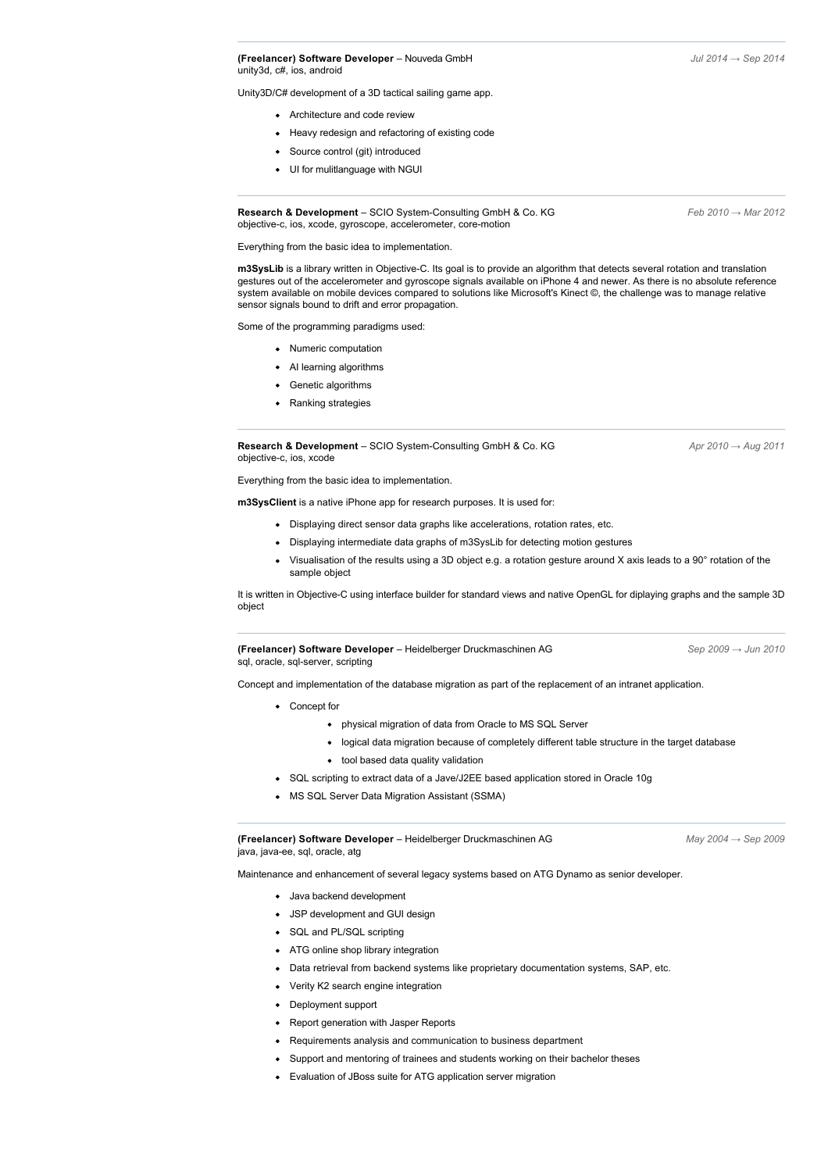**(Freelancer) Software Developer** – Nouveda GmbH *Jul 2014 → Sep 2014* unity3d, c#, ios, android

Unity3D/C# development of a 3D tactical sailing game app.

- Architecture and code review
- Heavy redesign and refactoring of existing code
- Source control (git) introduced
- UI for mulitlanguage with NGUI

**Research & Development** – SCIO System-Consulting GmbH & Co. KG *Feb 2010 → Mar 2012* objective-c, ios, xcode, gyroscope, accelerometer, core-motion

Everything from the basic idea to implementation.

**m3SysLib** is a library written in Objective-C. Its goal is to provide an algorithm that detects several rotation and translation gestures out of the accelerometer and gyroscope signals available on iPhone 4 and newer. As there is no absolute reference system available on mobile devices compared to solutions like Microsoft's Kinect ©, the challenge was to manage relative sensor signals bound to drift and error propagation.

Some of the programming paradigms used:

- Numeric computation
- AI learning algorithms
- Genetic algorithms
- Ranking strategies

**Research & Development** – SCIO System-Consulting GmbH & Co. KG *Apr 2010 → Aug 2011* objective-c, ios, xcode

Everything from the basic idea to implementation.

**m3SysClient** is a native iPhone app for research purposes. It is used for:

- Displaying direct sensor data graphs like accelerations, rotation rates, etc.
- Displaying intermediate data graphs of m3SysLib for detecting motion gestures
- Visualisation of the results using a 3D object e.g. a rotation gesture around X axis leads to a 90° rotation of the sample object

It is written in Objective-C using interface builder for standard views and native OpenGL for diplaying graphs and the sample 3D object

**(Freelancer) Software Developer** – Heidelberger Druckmaschinen AG *Sep 2009 → Jun 2010* sgl, oracle, sgl-server, scripting

Concept and implementation of the database migration as part of the replacement of an intranet application.

- Concept for
	- physical migration of data from Oracle to MS SQL Server
	- logical data migration because of completely different table structure in the target database
	- tool based data quality validation
- SQL scripting to extract data of a Jave/J2EE based application stored in Oracle 10g
- MS SQL Server Data Migration Assistant (SSMA)

**(Freelancer) Software Developer** – Heidelberger Druckmaschinen AG *May 2004 → Sep 2009* java, java-ee, sql, oracle, atg

Maintenance and enhancement of several legacy systems based on ATG Dynamo as senior developer.

- Java backend development
- JSP development and GUI design
- SQL and PL/SQL scripting
- ATG online shop library integration
- Data retrieval from backend systems like proprietary documentation systems, SAP, etc.
- Verity K2 search engine integration
- Deployment support
- Report generation with Jasper Reports
- Requirements analysis and communication to business department
- Support and mentoring of trainees and students working on their bachelor theses
- Evaluation of JBoss suite for ATG application server migration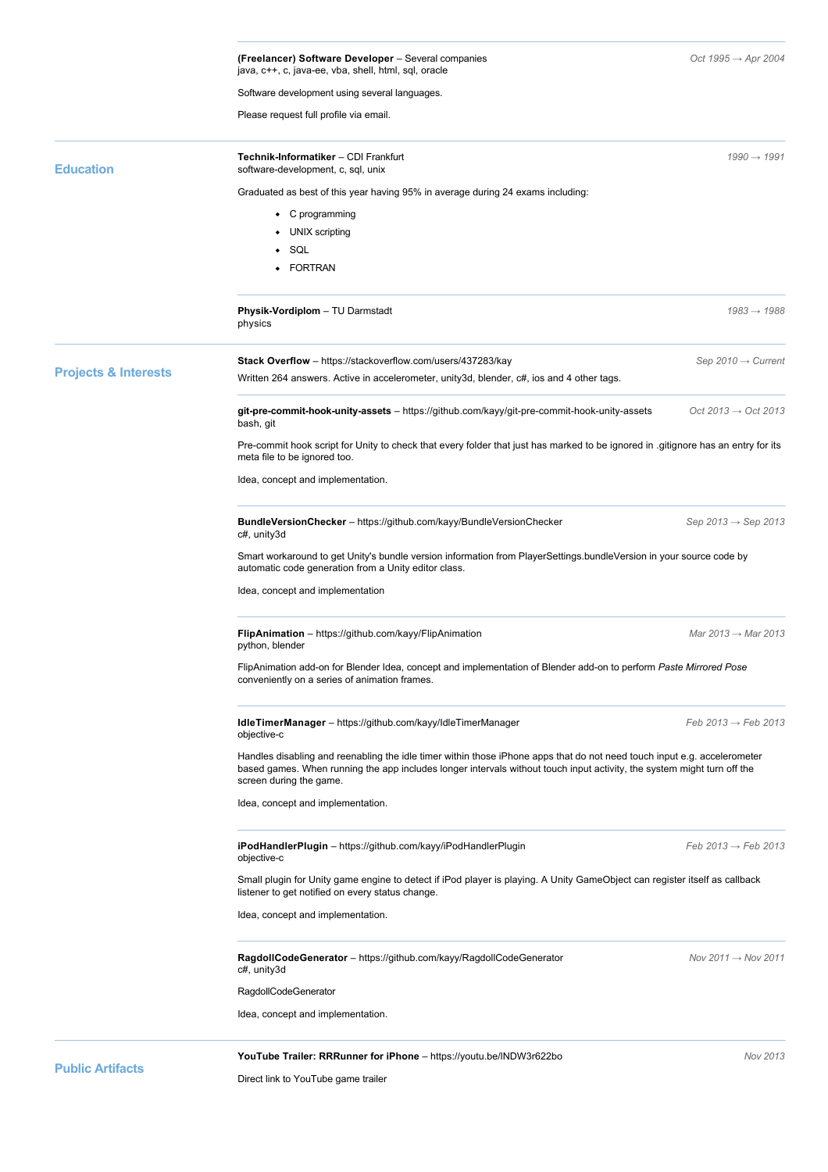|                                 | (Freelancer) Software Developer – Several companies<br>java, c++, c, java-ee, vba, shell, html, sql, oracle                                                                                                                                                                    | Oct 1995 $\rightarrow$ Apr 2004 |  |
|---------------------------------|--------------------------------------------------------------------------------------------------------------------------------------------------------------------------------------------------------------------------------------------------------------------------------|---------------------------------|--|
|                                 | Software development using several languages.                                                                                                                                                                                                                                  |                                 |  |
|                                 | Please request full profile via email.                                                                                                                                                                                                                                         |                                 |  |
| <b>Education</b>                | Technik-Informatiker - CDI Frankfurt<br>software-development, c, sql, unix                                                                                                                                                                                                     | $1990 \rightarrow 1991$         |  |
|                                 | Graduated as best of this year having 95% in average during 24 exams including:                                                                                                                                                                                                |                                 |  |
|                                 | • C programming                                                                                                                                                                                                                                                                |                                 |  |
|                                 | UNIX scripting                                                                                                                                                                                                                                                                 |                                 |  |
|                                 | $\bullet$ SQL                                                                                                                                                                                                                                                                  |                                 |  |
|                                 | • FORTRAN                                                                                                                                                                                                                                                                      |                                 |  |
|                                 | Physik-Vordiplom - TU Darmstadt<br>physics                                                                                                                                                                                                                                     | $1983 \rightarrow 1988$         |  |
|                                 | Stack Overflow - https://stackoverflow.com/users/437283/kay                                                                                                                                                                                                                    | Sep 2010 $\rightarrow$ Current  |  |
| <b>Projects &amp; Interests</b> | Written 264 answers. Active in accelerometer, unity3d, blender, c#, ios and 4 other tags.                                                                                                                                                                                      |                                 |  |
|                                 | git-pre-commit-hook-unity-assets - https://github.com/kayy/git-pre-commit-hook-unity-assets                                                                                                                                                                                    | Oct 2013 $\rightarrow$ Oct 2013 |  |
|                                 | bash, git<br>Pre-commit hook script for Unity to check that every folder that just has marked to be ignored in .gitignore has an entry for its                                                                                                                                 |                                 |  |
|                                 | meta file to be ignored too.                                                                                                                                                                                                                                                   |                                 |  |
|                                 | Idea, concept and implementation.                                                                                                                                                                                                                                              |                                 |  |
|                                 | BundleVersionChecker - https://github.com/kayy/BundleVersionChecker<br>c#, unity3d                                                                                                                                                                                             | Sep 2013 $\rightarrow$ Sep 2013 |  |
|                                 | Smart workaround to get Unity's bundle version information from PlayerSettings.bundleVersion in your source code by<br>automatic code generation from a Unity editor class.                                                                                                    |                                 |  |
|                                 | Idea, concept and implementation                                                                                                                                                                                                                                               |                                 |  |
|                                 | FlipAnimation - https://github.com/kayy/FlipAnimation<br>python, blender                                                                                                                                                                                                       | Mar $2013 \rightarrow$ Mar 2013 |  |
|                                 | FlipAnimation add-on for Blender Idea, concept and implementation of Blender add-on to perform Paste Mirrored Pose<br>conveniently on a series of animation frames.                                                                                                            |                                 |  |
|                                 | IdleTimerManager - https://github.com/kayy/IdleTimerManager<br>objective-c                                                                                                                                                                                                     | Feb $2013 \rightarrow$ Feb 2013 |  |
|                                 | Handles disabling and reenabling the idle timer within those iPhone apps that do not need touch input e.g. accelerometer<br>based games. When running the app includes longer intervals without touch input activity, the system might turn off the<br>screen during the game. |                                 |  |
|                                 | Idea, concept and implementation.                                                                                                                                                                                                                                              |                                 |  |
|                                 | iPodHandlerPlugin - https://github.com/kayy/iPodHandlerPlugin<br>objective-c                                                                                                                                                                                                   | Feb $2013 \rightarrow$ Feb 2013 |  |
|                                 | Small plugin for Unity game engine to detect if iPod player is playing. A Unity GameObject can register itself as callback<br>listener to get notified on every status change.                                                                                                 |                                 |  |
|                                 | Idea, concept and implementation.                                                                                                                                                                                                                                              |                                 |  |
|                                 | RagdollCodeGenerator - https://github.com/kayy/RagdollCodeGenerator<br>c#, unity3d                                                                                                                                                                                             | Nov 2011 $\rightarrow$ Nov 2011 |  |
|                                 | RagdollCodeGenerator                                                                                                                                                                                                                                                           |                                 |  |
|                                 | Idea, concept and implementation.                                                                                                                                                                                                                                              |                                 |  |
|                                 | YouTube Trailer: RRRunner for iPhone - https://youtu.be/INDW3r622bo                                                                                                                                                                                                            | Nov 2013                        |  |
| <b>Public Artifacts</b>         |                                                                                                                                                                                                                                                                                |                                 |  |

Direct link to YouTube game trailer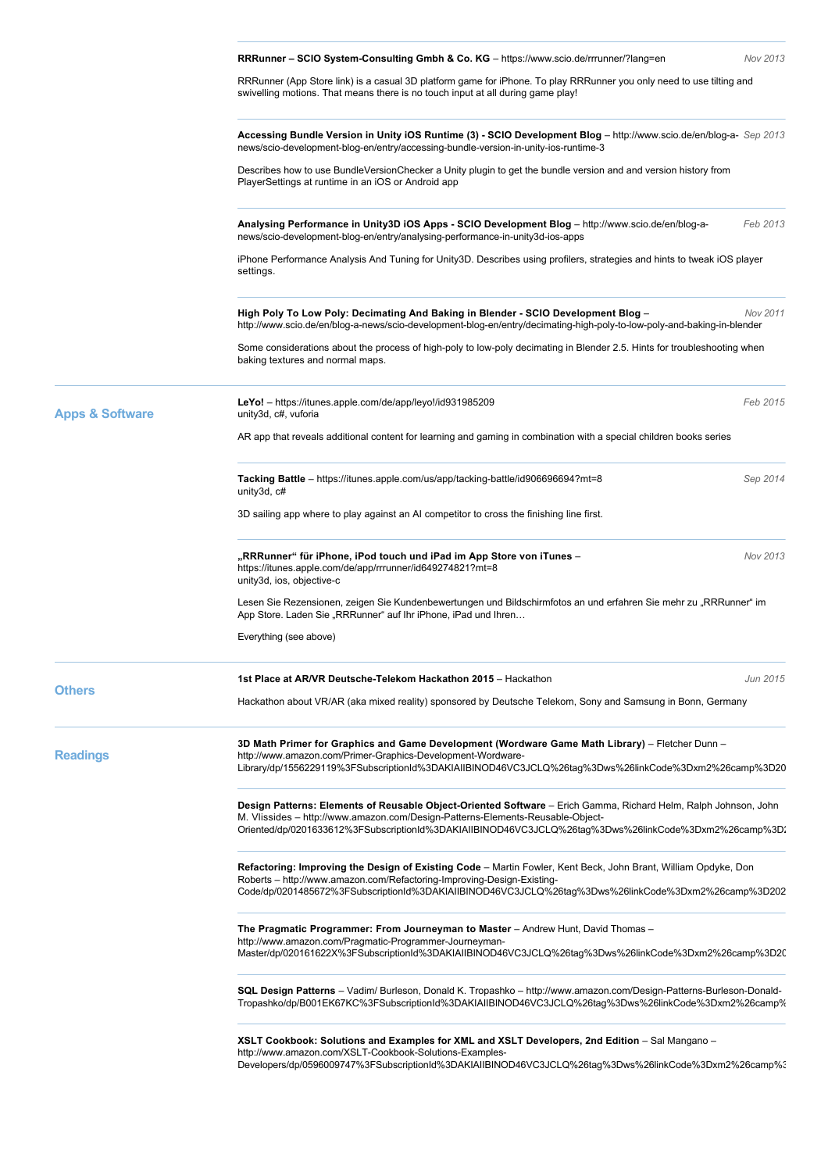|                            | RRRunner - SCIO System-Consulting Gmbh & Co. KG - https://www.scio.de/rrrunner/?lang=en                                                                                                                                                                                                                    | Nov 2013 |  |
|----------------------------|------------------------------------------------------------------------------------------------------------------------------------------------------------------------------------------------------------------------------------------------------------------------------------------------------------|----------|--|
|                            | RRRunner (App Store link) is a casual 3D platform game for iPhone. To play RRRunner you only need to use tilting and<br>swivelling motions. That means there is no touch input at all during game play!                                                                                                    |          |  |
|                            | Accessing Bundle Version in Unity iOS Runtime (3) - SCIO Development Blog - http://www.scio.de/en/blog-a- Sep 2013<br>news/scio-development-blog-en/entry/accessing-bundle-version-in-unity-ios-runtime-3                                                                                                  |          |  |
|                            | Describes how to use BundleVersionChecker a Unity plugin to get the bundle version and and version history from<br>PlayerSettings at runtime in an iOS or Android app                                                                                                                                      |          |  |
|                            | Analysing Performance in Unity3D iOS Apps - SCIO Development Blog - http://www.scio.de/en/blog-a-<br>news/scio-development-blog-en/entry/analysing-performance-in-unity3d-ios-apps                                                                                                                         | Feb 2013 |  |
|                            | iPhone Performance Analysis And Tuning for Unity3D. Describes using profilers, strategies and hints to tweak iOS player<br>settings.                                                                                                                                                                       |          |  |
|                            | High Poly To Low Poly: Decimating And Baking in Blender - SCIO Development Blog -<br>http://www.scio.de/en/blog-a-news/scio-development-blog-en/entry/decimating-high-poly-to-low-poly-and-baking-in-blender                                                                                               | Nov 2011 |  |
|                            | Some considerations about the process of high-poly to low-poly decimating in Blender 2.5. Hints for troubleshooting when<br>baking textures and normal maps.                                                                                                                                               |          |  |
| <b>Apps &amp; Software</b> | LeYo! - https://itunes.apple.com/de/app/leyo!/id931985209<br>unity3d, c#, vuforia                                                                                                                                                                                                                          | Feb 2015 |  |
|                            | AR app that reveals additional content for learning and gaming in combination with a special children books series                                                                                                                                                                                         |          |  |
|                            | Tacking Battle - https://itunes.apple.com/us/app/tacking-battle/id90669694?mt=8<br>unity3d, c#                                                                                                                                                                                                             | Sep 2014 |  |
|                            | 3D sailing app where to play against an AI competitor to cross the finishing line first.                                                                                                                                                                                                                   |          |  |
|                            | "RRRunner" für iPhone, iPod touch und iPad im App Store von iTunes –<br>https://itunes.apple.com/de/app/rrrunner/id649274821?mt=8<br>unity3d, ios, objective-c                                                                                                                                             | Nov 2013 |  |
|                            | Lesen Sie Rezensionen, zeigen Sie Kundenbewertungen und Bildschirmfotos an und erfahren Sie mehr zu "RRRunner" im<br>App Store. Laden Sie "RRRunner" auf Ihr iPhone, iPad und Ihren                                                                                                                        |          |  |
|                            | Everything (see above)                                                                                                                                                                                                                                                                                     |          |  |
| <b>Others</b>              | 1st Place at AR/VR Deutsche-Telekom Hackathon 2015 - Hackathon                                                                                                                                                                                                                                             | Jun 2015 |  |
|                            | Hackathon about VR/AR (aka mixed reality) sponsored by Deutsche Telekom, Sony and Samsung in Bonn, Germany                                                                                                                                                                                                 |          |  |
| <b>Readings</b>            | 3D Math Primer for Graphics and Game Development (Wordware Game Math Library) - Fletcher Dunn -<br>http://www.amazon.com/Primer-Graphics-Development-Wordware-<br>Library/dp/1556229119%3FSubscriptionId%3DAKIAIIBINOD46VC3JCLQ%26tag%3Dws%26linkCode%3Dxm2%26camp%3D20                                    |          |  |
|                            | Design Patterns: Elements of Reusable Object-Oriented Software - Erich Gamma, Richard Helm, Ralph Johnson, John<br>M. Vlissides - http://www.amazon.com/Design-Patterns-Elements-Reusable-Object-<br>Oriented/dp/0201633612%3FSubscriptionId%3DAKIAIIBINOD46VC3JCLQ%26tag%3Dws%26linkCode%3Dxm2%26camp%3D. |          |  |
|                            | Refactoring: Improving the Design of Existing Code – Martin Fowler, Kent Beck, John Brant, William Opdyke, Don<br>Roberts - http://www.amazon.com/Refactoring-Improving-Design-Existing-<br>Code/dp/0201485672%3FSubscriptionId%3DAKIAIIBINOD46VC3JCLQ%26tag%3Dws%26linkCode%3Dxm2%26camp%3D202            |          |  |
|                            | The Pragmatic Programmer: From Journeyman to Master - Andrew Hunt, David Thomas -<br>http://www.amazon.com/Pragmatic-Programmer-Journeyman-<br>Master/dp/020161622X%3FSubscriptionId%3DAKIAIIBINOD46VC3JCLQ%26tag%3Dws%26linkCode%3Dxm2%26camp%3D20                                                        |          |  |
|                            | SQL Design Patterns - Vadim/ Burleson, Donald K. Tropashko - http://www.amazon.com/Design-Patterns-Burleson-Donald-<br>Tropashko/dp/B001EK67KC%3FSubscriptionId%3DAKIAIIBINOD46VC3JCLQ%26tag%3Dws%26linkCode%3Dxm2%26camp%                                                                                 |          |  |
|                            | XSLT Cookbook: Solutions and Examples for XML and XSLT Developers, 2nd Edition - Sal Mangano -<br>http://www.amazon.com/XSLT-Cookbook-Solutions-Examples-<br>Developers/dp/0596009747%3FSubscriptionId%3DAKIAIIBINOD46VC3JCLQ%26tag%3Dws%26linkCode%3Dxm2%26camp%?                                         |          |  |